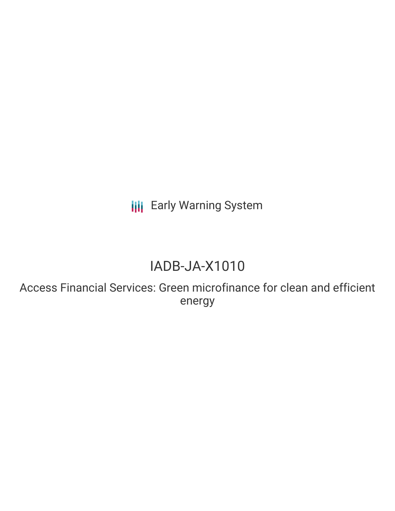**III** Early Warning System

# IADB-JA-X1010

Access Financial Services: Green microfinance for clean and efficient energy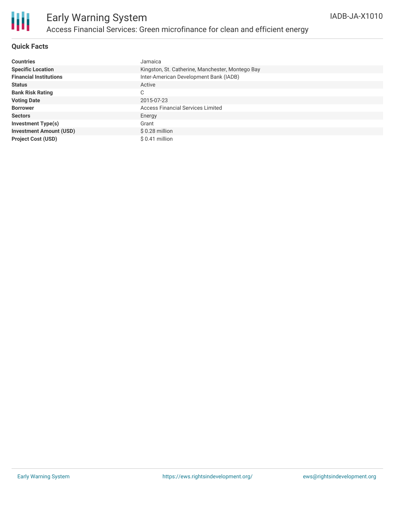

### **Quick Facts**

| <b>Countries</b>               | Jamaica                                          |
|--------------------------------|--------------------------------------------------|
| <b>Specific Location</b>       | Kingston, St. Catherine, Manchester, Montego Bay |
| <b>Financial Institutions</b>  | Inter-American Development Bank (IADB)           |
| <b>Status</b>                  | Active                                           |
| <b>Bank Risk Rating</b>        | C                                                |
| <b>Voting Date</b>             | 2015-07-23                                       |
| <b>Borrower</b>                | <b>Access Financial Services Limited</b>         |
| <b>Sectors</b>                 | Energy                                           |
| Investment Type(s)             | Grant                                            |
| <b>Investment Amount (USD)</b> | $$0.28$ million                                  |
| <b>Project Cost (USD)</b>      | $$0.41$ million                                  |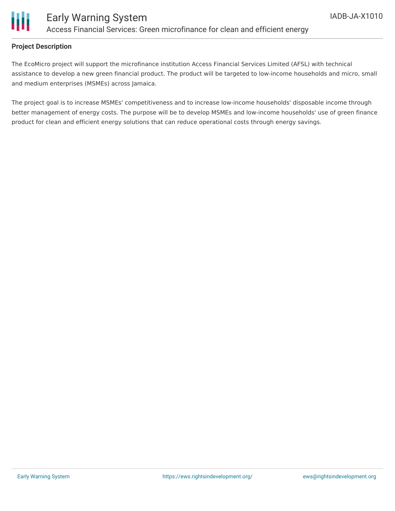

#### **Project Description**

The EcoMicro project will support the microfinance institution Access Financial Services Limited (AFSL) with technical assistance to develop a new green financial product. The product will be targeted to low-income households and micro, small and medium enterprises (MSMEs) across Jamaica.

The project goal is to increase MSMEs' competitiveness and to increase low-income households' disposable income through better management of energy costs. The purpose will be to develop MSMEs and low-income households' use of green finance product for clean and efficient energy solutions that can reduce operational costs through energy savings.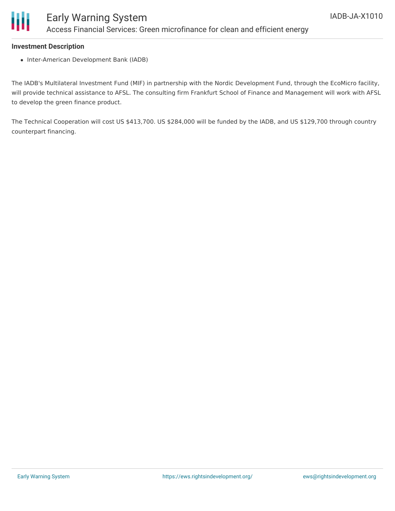

#### **Investment Description**

• Inter-American Development Bank (IADB)

The IADB's Multilateral Investment Fund (MIF) in partnership with the Nordic Development Fund, through the EcoMicro facility, will provide technical assistance to AFSL. The consulting firm Frankfurt School of Finance and Management will work with AFSL to develop the green finance product.

The Technical Cooperation will cost US \$413,700. US \$284,000 will be funded by the IADB, and US \$129,700 through country counterpart financing.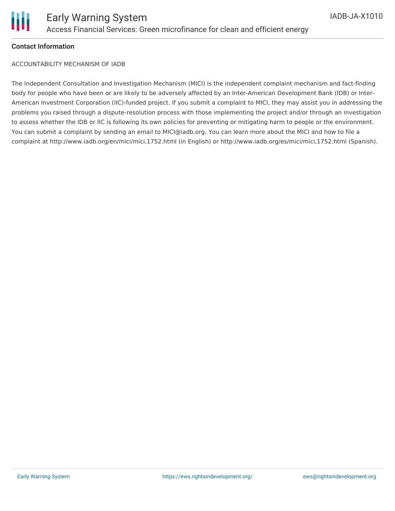

#### **Contact Information**

ACCOUNTABILITY MECHANISM OF IADB

The Independent Consultation and Investigation Mechanism (MICI) is the independent complaint mechanism and fact-finding body for people who have been or are likely to be adversely affected by an Inter-American Development Bank (IDB) or Inter-American Investment Corporation (IIC)-funded project. If you submit a complaint to MICI, they may assist you in addressing the problems you raised through a dispute-resolution process with those implementing the project and/or through an investigation to assess whether the IDB or IIC is following its own policies for preventing or mitigating harm to people or the environment. You can submit a complaint by sending an email to MICI@iadb.org. You can learn more about the MICI and how to file a complaint at http://www.iadb.org/en/mici/mici,1752.html (in English) or http://www.iadb.org/es/mici/mici,1752.html (Spanish).